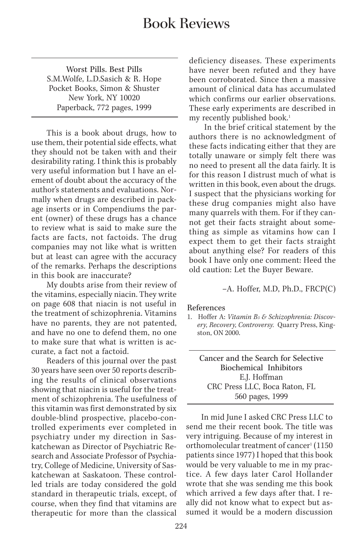## Book Reviews

Worst Pills. Best Pills S.M.Wolfe, L.D.Sasich & R. Hope Pocket Books, Simon & Shuster New York, NY 10020 Paperback, 772 pages, 1999

This is a book about drugs, how to use them, their potential side effects, what they should not be taken with and their desirability rating. I think this is probably very useful information but I have an element of doubt about the accuracy of the author's statements and evaluations. Normally when drugs are described in package inserts or in Compendiums the parent (owner) of these drugs has a chance to review what is said to make sure the facts are facts, not factoids. The drug companies may not like what is written but at least can agree with the accuracy of the remarks. Perhaps the descriptions in this book are inaccurate?

My doubts arise from their review of the vitamins, especially niacin. They write on page 608 that niacin is not useful in the treatment of schizophrenia. Vitamins have no parents, they are not patented, and have no one to defend them, no one to make sure that what is written is accurate, a fact not a factoid.

Readers of this journal over the past 30 years have seen over 50 reports describing the results of clinical observations showing that niacin is useful for the treatment of schizophrenia. The usefulness of this vitamin was first demonstrated by six double-blind prospective, placebo-controlled experiments ever completed in psychiatry under my direction in Saskatchewan as Director of Psychiatric Research and Associate Professor of Psychiatry, College of Medicine, University of Saskatchewan at Saskatoon. These controlled trials are today considered the gold standard in therapeutic trials, except, of course, when they find that vitamins are therapeutic for more than the classical deficiency diseases. These experiments have never been refuted and they have been corroborated. Since then a massive amount of clinical data has accumulated which confirms our earlier observations. These early experiments are described in my recently published book.<sup>1</sup>

In the brief critical statement by the authors there is no acknowledgment of these facts indicating either that they are totally unaware or simply felt there was no need to present all the data fairly. It is for this reason I distrust much of what is written in this book, even about the drugs. I suspect that the physicians working for these drug companies might also have many quarrels with them. For if they cannot get their facts straight about something as simple as vitamins how can I expect them to get their facts straight about anything else? For readers of this book I have only one comment: Heed the old caution: Let the Buyer Beware.

–A. Hoffer, M.D, Ph.D., FRCP(C)

## References

Cancer and the Search for Selective Biochemical Inhibitors E.J. Hoffman CRC Press LLC, Boca Raton, FL 560 pages, 1999

In mid June I asked CRC Press LLC to send me their recent book. The title was very intriguing. Because of my interest in orthomolecular treatment of cancer<sup>1</sup> (1150) patients since 1977) I hoped that this book would be very valuable to me in my practice. A few days later Carol Hollander wrote that she was sending me this book which arrived a few days after that. I really did not know what to expect but assumed it would be a modern discussion

<sup>1.</sup> Hoffer A: *Vitamin B3 & Schizophrenia: Discovery, Recovery, Controversy.* Quarry Press, Kingston, ON 2000.